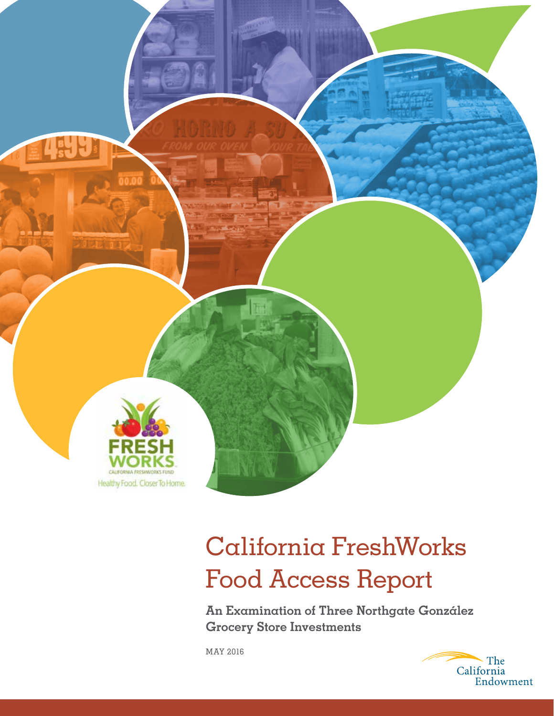

# California FreshWorks Food Access Report

**An Examination of Three Northgate González Grocery Store Investments**

MAY 2016

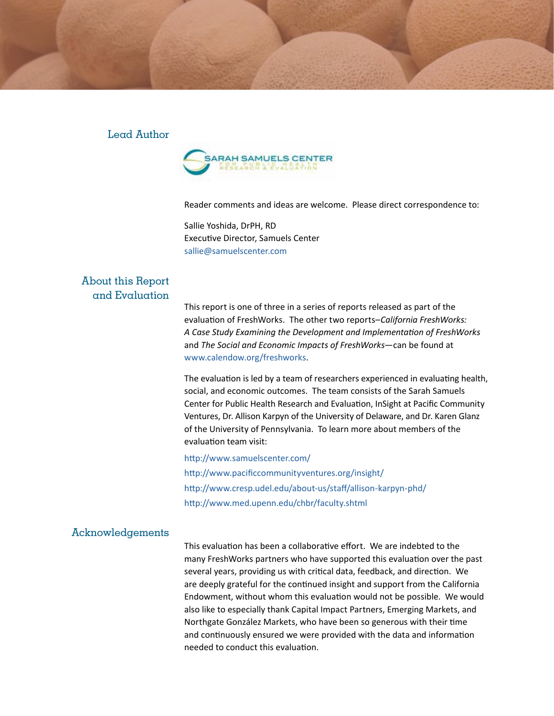#### Lead Author



Reader comments and ideas are welcome. Please direct correspondence to:

Sallie Yoshida, DrPH, RD Executive Director, Samuels Center sallie@samuelscenter.com

#### About this Report and Evaluation

This report is one of three in a series of reports released as part of the evaluation of FreshWorks. The other two reports–*California FreshWorks: A Case Study Examining the Development and Implementation of FreshWorks* and *The Social and Economic Impacts of FreshWorks*—can be found at [www.calendow.org/freshworks](http://www.calendow.org/freshworks).

The evaluation is led by a team of researchers experienced in evaluating health, social, and economic outcomes. The team consists of the Sarah Samuels Center for Public Health Research and Evaluation, InSight at Pacific Community Ventures, Dr. Allison Karpyn of the University of Delaware, and Dr. Karen Glanz of the University of Pennsylvania. To learn more about members of the evaluation team visit:

<http://www.samuelscenter.com/> <http://www.pacificcommunityventures.org/insight/> <http://www.cresp.udel.edu/about-us/staff/allison-karpyn-phd/> <http://www.med.upenn.edu/chbr/faculty.shtml>

#### Acknowledgements

This evaluation has been a collaborative effort. We are indebted to the many FreshWorks partners who have supported this evaluation over the past several years, providing us with critical data, feedback, and direction. We are deeply grateful for the continued insight and support from the California Endowment, without whom this evaluation would not be possible. We would also like to especially thank Capital Impact Partners, Emerging Markets, and Northgate González Markets, who have been so generous with their time and continuously ensured we were provided with the data and information needed to conduct this evaluation.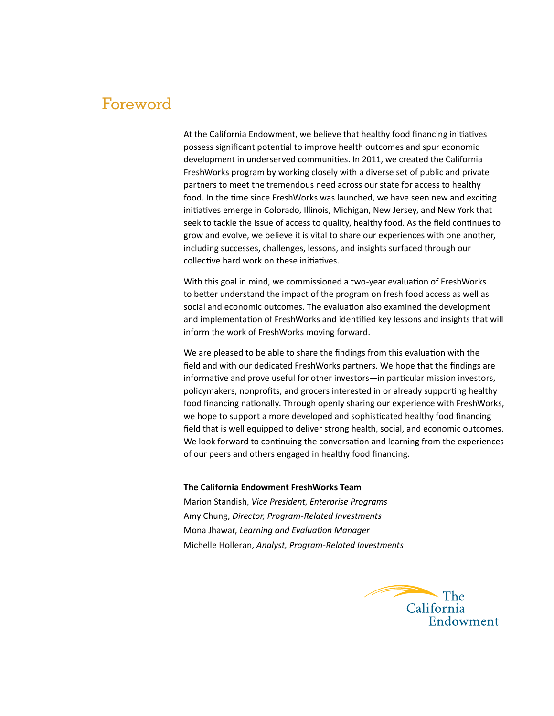### Foreword

At the California Endowment, we believe that healthy food financing initiatives possess significant potential to improve health outcomes and spur economic development in underserved communities. In 2011, we created the California FreshWorks program by working closely with a diverse set of public and private partners to meet the tremendous need across our state for access to healthy food. In the time since FreshWorks was launched, we have seen new and exciting initiatives emerge in Colorado, Illinois, Michigan, New Jersey, and New York that seek to tackle the issue of access to quality, healthy food. As the field continues to grow and evolve, we believe it is vital to share our experiences with one another, including successes, challenges, lessons, and insights surfaced through our collective hard work on these initiatives.

With this goal in mind, we commissioned a two-year evaluation of FreshWorks to better understand the impact of the program on fresh food access as well as social and economic outcomes. The evaluation also examined the development and implementation of FreshWorks and identified key lessons and insights that will inform the work of FreshWorks moving forward.

We are pleased to be able to share the findings from this evaluation with the field and with our dedicated FreshWorks partners. We hope that the findings are informative and prove useful for other investors—in particular mission investors, policymakers, nonprofits, and grocers interested in or already supporting healthy food financing nationally. Through openly sharing our experience with FreshWorks, we hope to support a more developed and sophisticated healthy food financing field that is well equipped to deliver strong health, social, and economic outcomes. We look forward to continuing the conversation and learning from the experiences of our peers and others engaged in healthy food financing.

#### **The California Endowment FreshWorks Team**

Marion Standish, *Vice President, Enterprise Programs* Amy Chung, *Director, Program-Related Investments* Mona Jhawar, *Learning and Evaluation Manager* Michelle Holleran, *Analyst, Program-Related Investments*

The California Endowment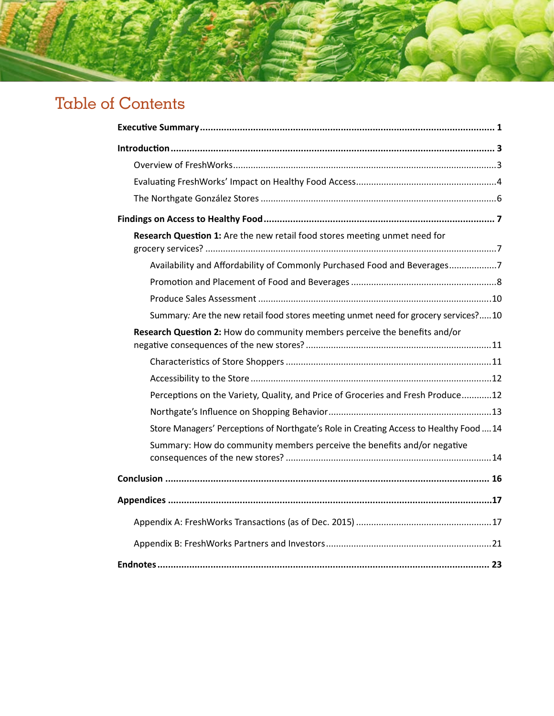# Table of Contents

| Research Question 1: Are the new retail food stores meeting unmet need for             |
|----------------------------------------------------------------------------------------|
| Availability and Affordability of Commonly Purchased Food and Beverages7               |
|                                                                                        |
|                                                                                        |
| Summary: Are the new retail food stores meeting unmet need for grocery services?10     |
| Research Question 2: How do community members perceive the benefits and/or             |
|                                                                                        |
|                                                                                        |
| Perceptions on the Variety, Quality, and Price of Groceries and Fresh Produce12        |
|                                                                                        |
| Store Managers' Perceptions of Northgate's Role in Creating Access to Healthy Food  14 |
| Summary: How do community members perceive the benefits and/or negative                |
|                                                                                        |
|                                                                                        |
|                                                                                        |
|                                                                                        |
|                                                                                        |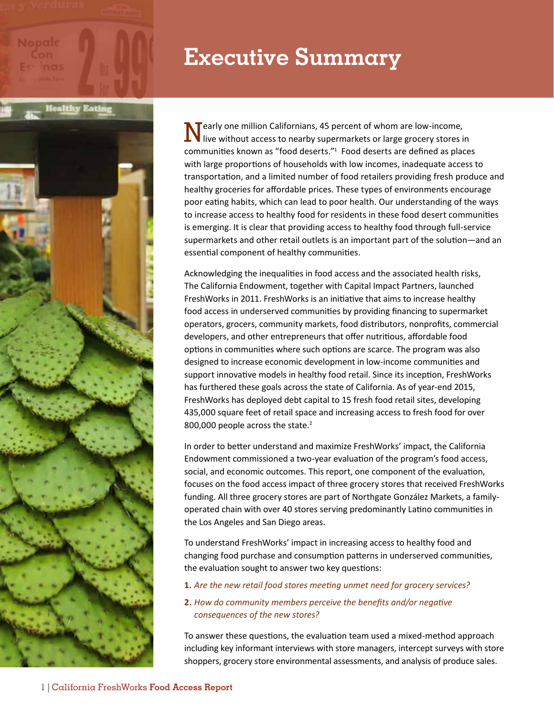# **Executive Summary**

 $\mathbf N$  early one million Californians, 45 percent of whom are low-income, live without access to nearby supermarkets or large grocery stores in communities known as "food deserts."1 Food deserts are defined as places with large proportions of households with low incomes, inadequate access to transportation, and a limited number of food retailers providing fresh produce and healthy groceries for affordable prices. These types of environments encourage poor eating habits, which can lead to poor health. Our understanding of the ways to increase access to healthy food for residents in these food desert communities is emerging. It is clear that providing access to healthy food through full-service supermarkets and other retail outlets is an important part of the solution—and an essential component of healthy communities.

Acknowledging the inequalities in food access and the associated health risks, The California Endowment, together with Capital Impact Partners, launched FreshWorks in 2011. FreshWorks is an initiative that aims to increase healthy food access in underserved communities by providing financing to supermarket operators, grocers, community markets, food distributors, nonprofits, commercial developers, and other entrepreneurs that offer nutritious, affordable food options in communities where such options are scarce. The program was also designed to increase economic development in low-income communities and support innovative models in healthy food retail. Since its inception, FreshWorks has furthered these goals across the state of California. As of year-end 2015, FreshWorks has deployed debt capital to 15 fresh food retail sites, developing 435,000 square feet of retail space and increasing access to fresh food for over 800,000 people across the state.<sup>2</sup>

In order to better understand and maximize FreshWorks' impact, the California Endowment commissioned a two-year evaluation of the program's food access, social, and economic outcomes. This report, one component of the evaluation, focuses on the food access impact of three grocery stores that received FreshWorks funding. All three grocery stores are part of Northgate González Markets, a familyoperated chain with over 40 stores serving predominantly Latino communities in the Los Angeles and San Diego areas.

To understand FreshWorks' impact in increasing access to healthy food and changing food purchase and consumption patterns in underserved communities, the evaluation sought to answer two key questions:

#### **1.** *Are the new retail food stores meeting unmet need for grocery services?*

#### **2.** *How do community members perceive the benefits and/or negative consequences of the new stores?*

To answer these questions, the evaluation team used a mixed-method approach including key informant interviews with store managers, intercept surveys with store shoppers, grocery store environmental assessments, and analysis of produce sales.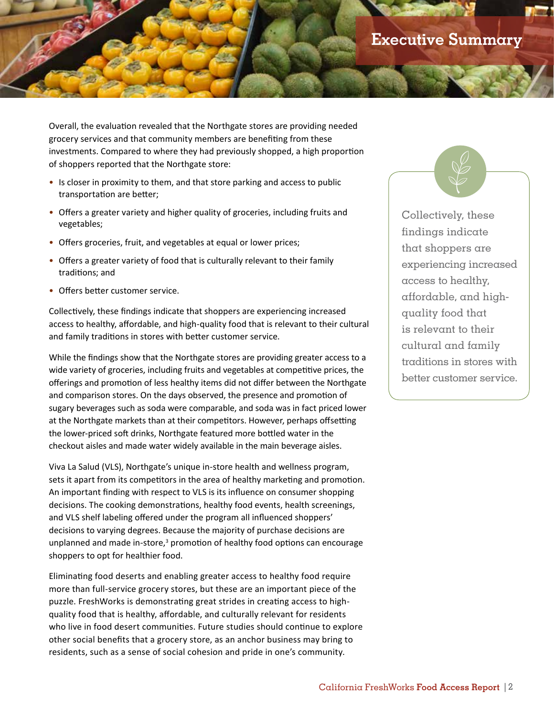Overall, the evaluation revealed that the Northgate stores are providing needed grocery services and that community members are benefiting from these investments. Compared to where they had previously shopped, a high proportion of shoppers reported that the Northgate store:

- Is closer in proximity to them, and that store parking and access to public transportation are better;
- Offers a greater variety and higher quality of groceries, including fruits and vegetables;
- Offers groceries, fruit, and vegetables at equal or lower prices;
- Offers a greater variety of food that is culturally relevant to their family traditions; and
- Offers better customer service.

Collectively, these findings indicate that shoppers are experiencing increased access to healthy, affordable, and high-quality food that is relevant to their cultural and family traditions in stores with better customer service.

While the findings show that the Northgate stores are providing greater access to a wide variety of groceries, including fruits and vegetables at competitive prices, the offerings and promotion of less healthy items did not differ between the Northgate and comparison stores. On the days observed, the presence and promotion of sugary beverages such as soda were comparable, and soda was in fact priced lower at the Northgate markets than at their competitors. However, perhaps offsetting the lower-priced soft drinks, Northgate featured more bottled water in the checkout aisles and made water widely available in the main beverage aisles.

Viva La Salud (VLS), Northgate's unique in-store health and wellness program, sets it apart from its competitors in the area of healthy marketing and promotion. An important finding with respect to VLS is its influence on consumer shopping decisions. The cooking demonstrations, healthy food events, health screenings, and VLS shelf labeling offered under the program all influenced shoppers' decisions to varying degrees. Because the majority of purchase decisions are unplanned and made in-store,<sup>3</sup> promotion of healthy food options can encourage shoppers to opt for healthier food.

Eliminating food deserts and enabling greater access to healthy food require more than full-service grocery stores, but these are an important piece of the puzzle. FreshWorks is demonstrating great strides in creating access to highquality food that is healthy, affordable, and culturally relevant for residents who live in food desert communities. Future studies should continue to explore other social benefits that a grocery store, as an anchor business may bring to residents, such as a sense of social cohesion and pride in one's community.

Collectively, these findings indicate that shoppers are experiencing increased access to healthy, affordable, and highquality food that is relevant to their cultural and family traditions in stores with better customer service.

 $\sqrt{\frac{2}{3}}$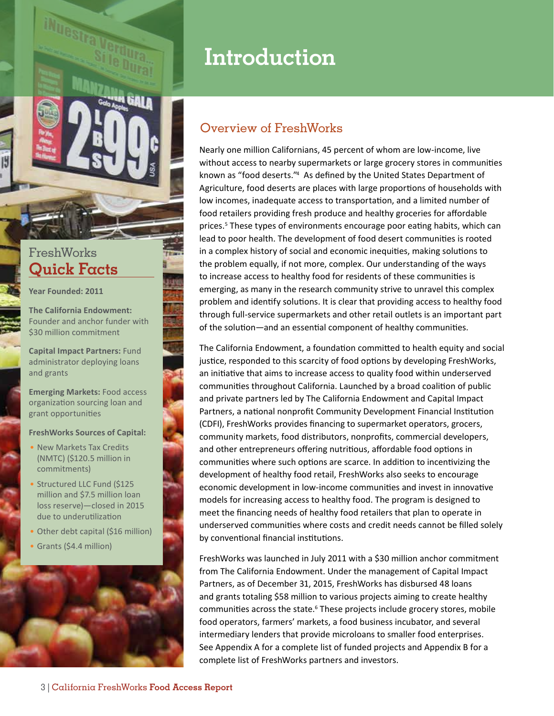

### **FreshWorks Quick Facts**

**Year Founded: 2011**

**The California Endowment:**  Founder and anchor funder with \$30 million commitment

**Capital Impact Partners:** Fund administrator deploying loans and grants

**Emerging Markets:** Food access organization sourcing loan and grant opportunities

#### **FreshWorks Sources of Capital:**

- New Markets Tax Credits (NMTC) (\$120.5 million in commitments)
- Structured LLC Fund (\$125 million and \$7.5 million loan loss reserve)—closed in 2015 due to underutilization
- Other debt capital (\$16 million)
- Grants (\$4.4 million)



# **Introduction**

### Overview of FreshWorks

Nearly one million Californians, 45 percent of whom are low-income, live without access to nearby supermarkets or large grocery stores in communities known as "food deserts."<sup>4</sup> As defined by the United States Department of Agriculture, food deserts are places with large proportions of households with low incomes, inadequate access to transportation, and a limited number of food retailers providing fresh produce and healthy groceries for affordable prices.<sup>5</sup> These types of environments encourage poor eating habits, which can lead to poor health. The development of food desert communities is rooted in a complex history of social and economic inequities, making solutions to the problem equally, if not more, complex. Our understanding of the ways to increase access to healthy food for residents of these communities is emerging, as many in the research community strive to unravel this complex problem and identify solutions. It is clear that providing access to healthy food through full-service supermarkets and other retail outlets is an important part of the solution—and an essential component of healthy communities.

The California Endowment, a foundation committed to health equity and social justice, responded to this scarcity of food options by developing FreshWorks, an initiative that aims to increase access to quality food within underserved communities throughout California. Launched by a broad coalition of public and private partners led by The California Endowment and Capital Impact Partners, a national nonprofit Community Development Financial Institution (CDFI), FreshWorks provides financing to supermarket operators, grocers, community markets, food distributors, nonprofits, commercial developers, and other entrepreneurs offering nutritious, affordable food options in communities where such options are scarce. In addition to incentivizing the development of healthy food retail, FreshWorks also seeks to encourage economic development in low-income communities and invest in innovative models for increasing access to healthy food. The program is designed to meet the financing needs of healthy food retailers that plan to operate in underserved communities where costs and credit needs cannot be filled solely by conventional financial institutions.

FreshWorks was launched in July 2011 with a \$30 million anchor commitment from The California Endowment. Under the management of Capital Impact Partners, as of December 31, 2015, FreshWorks has disbursed 48 loans and grants totaling \$58 million to various projects aiming to create healthy communities across the state.<sup>6</sup> These projects include grocery stores, mobile food operators, farmers' markets, a food business incubator, and several intermediary lenders that provide microloans to smaller food enterprises. See Appendix A for a complete list of funded projects and Appendix B for a complete list of FreshWorks partners and investors.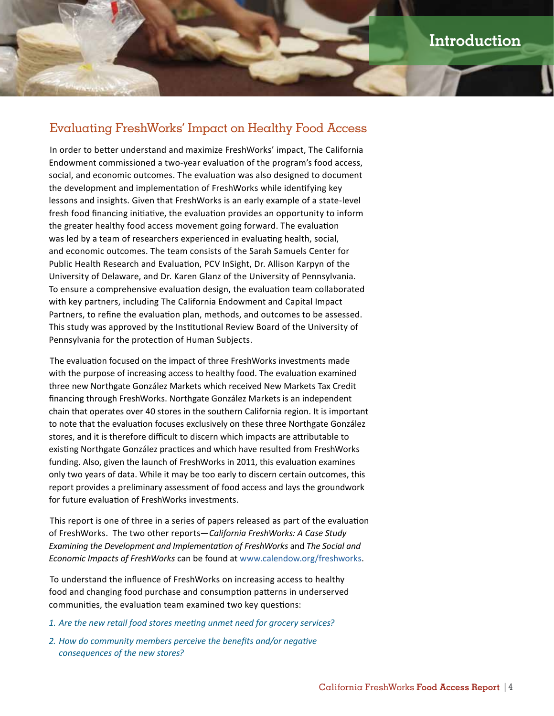### Evaluating FreshWorks' Impact on Healthy Food Access

In order to better understand and maximize FreshWorks' impact, The California Endowment commissioned a two-year evaluation of the program's food access, social, and economic outcomes. The evaluation was also designed to document the development and implementation of FreshWorks while identifying key lessons and insights. Given that FreshWorks is an early example of a state-level fresh food financing initiative, the evaluation provides an opportunity to inform the greater healthy food access movement going forward. The evaluation was led by a team of researchers experienced in evaluating health, social, and economic outcomes. The team consists of the Sarah Samuels Center for Public Health Research and Evaluation, PCV InSight, Dr. Allison Karpyn of the University of Delaware, and Dr. Karen Glanz of the University of Pennsylvania. To ensure a comprehensive evaluation design, the evaluation team collaborated with key partners, including The California Endowment and Capital Impact Partners, to refine the evaluation plan, methods, and outcomes to be assessed. This study was approved by the Institutional Review Board of the University of Pennsylvania for the protection of Human Subjects.

The evaluation focused on the impact of three FreshWorks investments made with the purpose of increasing access to healthy food. The evaluation examined three new Northgate González Markets which received New Markets Tax Credit financing through FreshWorks. Northgate González Markets is an independent chain that operates over 40 stores in the southern California region. It is important to note that the evaluation focuses exclusively on these three Northgate González stores, and it is therefore difficult to discern which impacts are attributable to existing Northgate González practices and which have resulted from FreshWorks funding. Also, given the launch of FreshWorks in 2011, this evaluation examines only two years of data. While it may be too early to discern certain outcomes, this report provides a preliminary assessment of food access and lays the groundwork for future evaluation of FreshWorks investments.

This report is one of three in a series of papers released as part of the evaluation of FreshWorks. The two other reports—*California FreshWorks: A Case Study Examining the Development and Implementation of FreshWorks* and *The Social and Economic Impacts of FreshWorks* can be found at [www.calendow.org/freshworks](http://www.calendow.org/freshworks).

To understand the influence of FreshWorks on increasing access to healthy food and changing food purchase and consumption patterns in underserved communities, the evaluation team examined two key questions:

- *1. Are the new retail food stores meeting unmet need for grocery services?*
- *2. How do community members perceive the benefits and/or negative consequences of the new stores?*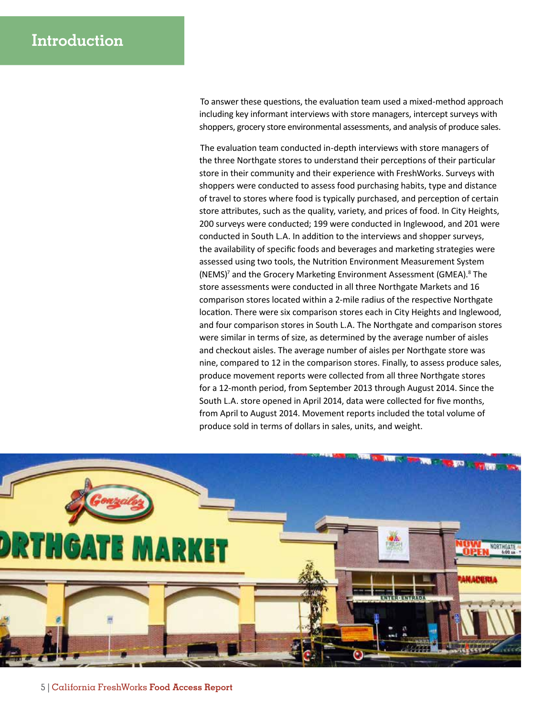To answer these questions, the evaluation team used a mixed-method approach including key informant interviews with store managers, intercept surveys with shoppers, grocery store environmental assessments, and analysis of produce sales.

The evaluation team conducted in-depth interviews with store managers of the three Northgate stores to understand their perceptions of their particular store in their community and their experience with FreshWorks. Surveys with shoppers were conducted to assess food purchasing habits, type and distance of travel to stores where food is typically purchased, and perception of certain store attributes, such as the quality, variety, and prices of food. In City Heights, 200 surveys were conducted; 199 were conducted in Inglewood, and 201 were conducted in South L.A. In addition to the interviews and shopper surveys, the availability of specific foods and beverages and marketing strategies were assessed using two tools, the Nutrition Environment Measurement System (NEMS)<sup>7</sup> and the Grocery Marketing Environment Assessment (GMEA).<sup>8</sup> The store assessments were conducted in all three Northgate Markets and 16 comparison stores located within a 2-mile radius of the respective Northgate location. There were six comparison stores each in City Heights and Inglewood, and four comparison stores in South L.A. The Northgate and comparison stores were similar in terms of size, as determined by the average number of aisles and checkout aisles. The average number of aisles per Northgate store was nine, compared to 12 in the comparison stores. Finally, to assess produce sales, produce movement reports were collected from all three Northgate stores for a 12-month period, from September 2013 through August 2014. Since the South L.A. store opened in April 2014, data were collected for five months, from April to August 2014. Movement reports included the total volume of produce sold in terms of dollars in sales, units, and weight.

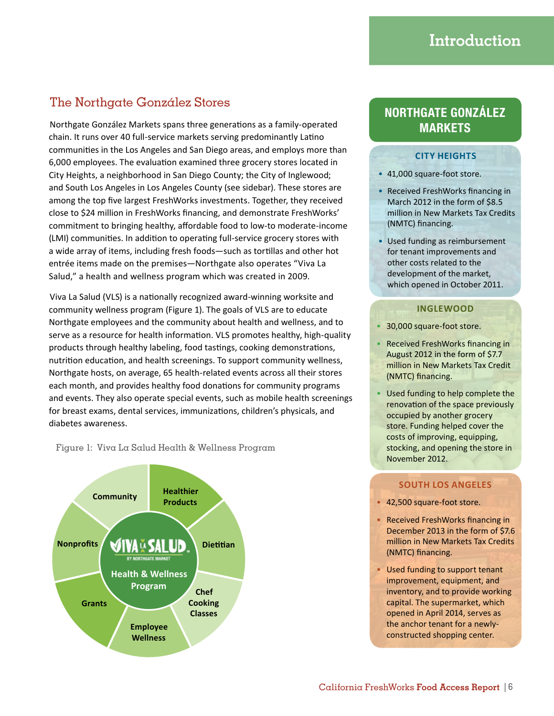### The Northgate González Stores

Northgate González Markets spans three generations as a family-operated chain. It runs over 40 full-service markets serving predominantly Latino communities in the Los Angeles and San Diego areas, and employs more than 6,000 employees. The evaluation examined three grocery stores located in City Heights, a neighborhood in San Diego County; the City of Inglewood; and South Los Angeles in Los Angeles County (see sidebar). These stores are among the top five largest FreshWorks investments. Together, they received close to \$24 million in FreshWorks financing, and demonstrate FreshWorks' commitment to bringing healthy, affordable food to low-to moderate-income (LMI) communities. In addition to operating full-service grocery stores with a wide array of items, including fresh foods—such as tortillas and other hot entrée items made on the premises—Northgate also operates "Viva La Salud," a health and wellness program which was created in 2009.

Viva La Salud (VLS) is a nationally recognized award-winning worksite and community wellness program (Figure 1). The goals of VLS are to educate Northgate employees and the community about health and wellness, and to serve as a resource for health information. VLS promotes healthy, high-quality products through healthy labeling, food tastings, cooking demonstrations, nutrition education, and health screenings. To support community wellness, Northgate hosts, on average, 65 health-related events across all their stores each month, and provides healthy food donations for community programs and events. They also operate special events, such as mobile health screenings for breast exams, dental services, immunizations, children's physicals, and diabetes awareness.

#### Figure 1: Viva La Salud Health & Wellness Program



### **NORTHGATE GONZÁLEZ MARKETS**

#### **CITY HEIGHTS**

- 41,000 square-foot store.
- Received FreshWorks financing in March 2012 in the form of \$8.5 million in New Markets Tax Credits (NMTC) financing.
- Used funding as reimbursement for tenant improvements and other costs related to the development of the market, which opened in October 2011.

#### **INGLEWOOD**

- 30,000 square-foot store.
- Received FreshWorks financing in August 2012 in the form of \$7.7 million in New Markets Tax Credit (NMTC) financing.
- Used funding to help complete the renovation of the space previously occupied by another grocery store. Funding helped cover the costs of improving, equipping, stocking, and opening the store in November 2012.

#### **SOUTH LOS ANGELES**

- 42,500 square-foot store.
- Received FreshWorks financing in December 2013 in the form of \$7.6 million in New Markets Tax Credits (NMTC) financing.
- Used funding to support tenant improvement, equipment, and inventory, and to provide working capital. The supermarket, which opened in April 2014, serves as the anchor tenant for a newlyconstructed shopping center.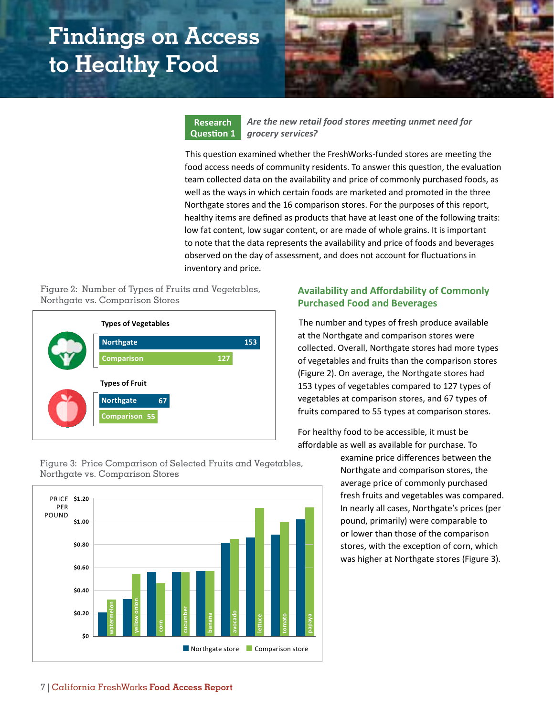# **Findings on Access to Healthy Food**



**Research Question 1**

*Are the new retail food stores meeting unmet need for grocery services?*

This question examined whether the FreshWorks-funded stores are meeting the food access needs of community residents. To answer this question, the evaluation team collected data on the availability and price of commonly purchased foods, as well as the ways in which certain foods are marketed and promoted in the three Northgate stores and the 16 comparison stores. For the purposes of this report, healthy items are defined as products that have at least one of the following traits: low fat content, low sugar content, or are made of whole grains. It is important to note that the data represents the availability and price of foods and beverages observed on the day of assessment, and does not account for fluctuations in inventory and price.

Figure 2: Number of Types of Fruits and Vegetables, Northgate vs. Comparison Stores



#### **Availability and Affordability of Commonly Purchased Food and Beverages**

The number and types of fresh produce available at the Northgate and comparison stores were collected. Overall, Northgate stores had more types of vegetables and fruits than the comparison stores (Figure 2). On average, the Northgate stores had 153 types of vegetables compared to 127 types of vegetables at comparison stores, and 67 types of fruits compared to 55 types at comparison stores.

For healthy food to be accessible, it must be affordable as well as available for purchase. To

> examine price differences between the Northgate and comparison stores, the average price of commonly purchased fresh fruits and vegetables was compared. In nearly all cases, Northgate's prices (per pound, primarily) were comparable to or lower than those of the comparison stores, with the exception of corn, which was higher at Northgate stores (Figure 3).

Figure 3: Price Comparison of Selected Fruits and Vegetables, Northgate vs. Comparison Stores

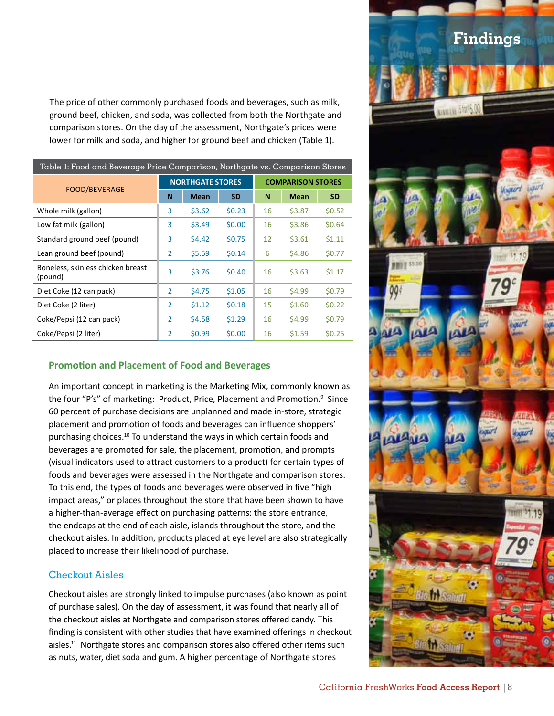The price of other commonly purchased foods and beverages, such as milk, ground beef, chicken, and soda, was collected from both the Northgate and comparison stores. On the day of the assessment, Northgate's prices were lower for milk and soda, and higher for ground beef and chicken (Table 1).

| Table 1: Food and Beverage Price Comparison, Northgate vs. Comparison Stores |                |                         |           |                          |             |           |  |
|------------------------------------------------------------------------------|----------------|-------------------------|-----------|--------------------------|-------------|-----------|--|
| <b>FOOD/BEVERAGE</b>                                                         |                | <b>NORTHGATE STORES</b> |           | <b>COMPARISON STORES</b> |             |           |  |
|                                                                              | N              | <b>Mean</b>             | <b>SD</b> | N                        | <b>Mean</b> | <b>SD</b> |  |
| Whole milk (gallon)                                                          | 3              | \$3.62                  | \$0.23    | 16                       | \$3.87      | \$0.52    |  |
| Low fat milk (gallon)                                                        | 3              | \$3.49                  | \$0.00    | 16                       | \$3.86      | \$0.64    |  |
| Standard ground beef (pound)                                                 | 3              | \$4.42                  | \$0.75    | 12                       | \$3.61      | 51.11     |  |
| Lean ground beef (pound)                                                     | $\overline{2}$ | \$5.59                  | \$0.14    | 6                        | \$4.86      | \$0.77    |  |
| Boneless, skinless chicken breast<br>(pound)                                 | 3              | \$3.76                  | \$0.40    | 16                       | \$3.63      | \$1.17    |  |
| Diet Coke (12 can pack)                                                      | $\overline{2}$ | \$4.75                  | \$1.05    | 16                       | \$4.99      | \$0.79    |  |
| Diet Coke (2 liter)                                                          | 2              | \$1.12                  | \$0.18    | 15                       | \$1.60      | \$0.22    |  |
| Coke/Pepsi (12 can pack)                                                     | $\overline{2}$ | \$4.58                  | \$1.29    | 16                       | \$4.99      | \$0.79    |  |
| Coke/Pepsi (2 liter)                                                         | 2              | \$0.99                  | \$0.00    | 16                       | \$1.59      | \$0.25    |  |

#### **Promotion and Placement of Food and Beverages**

An important concept in marketing is the Marketing Mix, commonly known as the four "P's" of marketing: Product, Price, Placement and Promotion.<sup>9</sup> Since 60 percent of purchase decisions are unplanned and made in-store, strategic placement and promotion of foods and beverages can influence shoppers' purchasing choices.10 To understand the ways in which certain foods and beverages are promoted for sale, the placement, promotion, and prompts (visual indicators used to attract customers to a product) for certain types of foods and beverages were assessed in the Northgate and comparison stores. To this end, the types of foods and beverages were observed in five "high impact areas," or places throughout the store that have been shown to have a higher-than-average effect on purchasing patterns: the store entrance, the endcaps at the end of each aisle, islands throughout the store, and the checkout aisles. In addition, products placed at eye level are also strategically placed to increase their likelihood of purchase.

#### Checkout Aisles

Checkout aisles are strongly linked to impulse purchases (also known as point of purchase sales). On the day of assessment, it was found that nearly all of the checkout aisles at Northgate and comparison stores offered candy. This finding is consistent with other studies that have examined offerings in checkout aisles.<sup>11</sup> Northgate stores and comparison stores also offered other items such as nuts, water, diet soda and gum. A higher percentage of Northgate stores

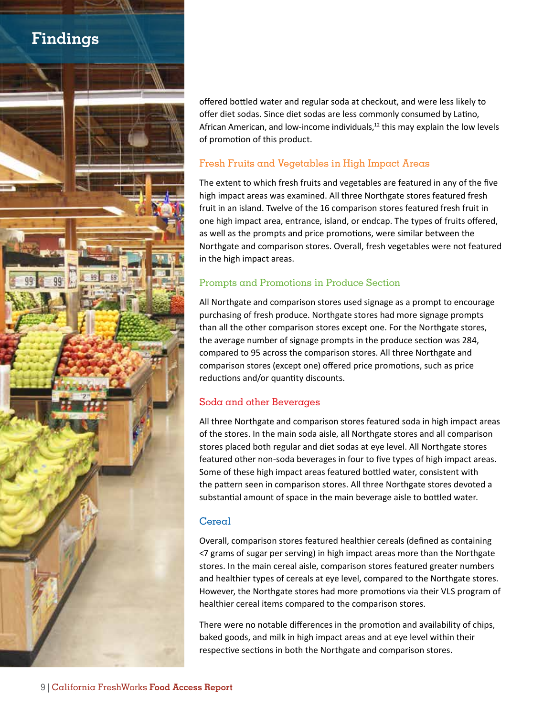## **Findings**



offered bottled water and regular soda at checkout, and were less likely to offer diet sodas. Since diet sodas are less commonly consumed by Latino, African American, and low-income individuals, $12$  this may explain the low levels of promotion of this product.

#### Fresh Fruits and Vegetables in High Impact Areas

The extent to which fresh fruits and vegetables are featured in any of the five high impact areas was examined. All three Northgate stores featured fresh fruit in an island. Twelve of the 16 comparison stores featured fresh fruit in one high impact area, entrance, island, or endcap. The types of fruits offered, as well as the prompts and price promotions, were similar between the Northgate and comparison stores. Overall, fresh vegetables were not featured in the high impact areas.

#### Prompts and Promotions in Produce Section

All Northgate and comparison stores used signage as a prompt to encourage purchasing of fresh produce. Northgate stores had more signage prompts than all the other comparison stores except one. For the Northgate stores, the average number of signage prompts in the produce section was 284, compared to 95 across the comparison stores. All three Northgate and comparison stores (except one) offered price promotions, such as price reductions and/or quantity discounts.

#### Soda and other Beverages

All three Northgate and comparison stores featured soda in high impact areas of the stores. In the main soda aisle, all Northgate stores and all comparison stores placed both regular and diet sodas at eye level. All Northgate stores featured other non-soda beverages in four to five types of high impact areas. Some of these high impact areas featured bottled water, consistent with the pattern seen in comparison stores. All three Northgate stores devoted a substantial amount of space in the main beverage aisle to bottled water.

#### Cereal

Overall, comparison stores featured healthier cereals (defined as containing <7 grams of sugar per serving) in high impact areas more than the Northgate stores. In the main cereal aisle, comparison stores featured greater numbers and healthier types of cereals at eye level, compared to the Northgate stores. However, the Northgate stores had more promotions via their VLS program of healthier cereal items compared to the comparison stores.

There were no notable differences in the promotion and availability of chips, baked goods, and milk in high impact areas and at eye level within their respective sections in both the Northgate and comparison stores.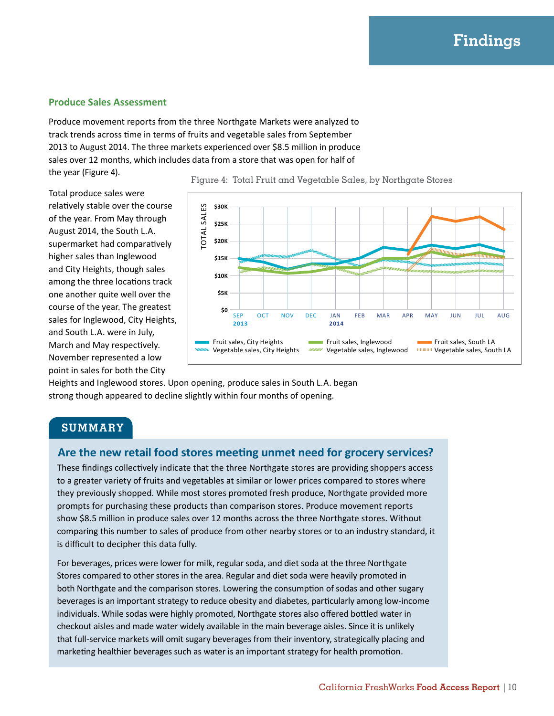#### **Produce Sales Assessment**

Produce movement reports from the three Northgate Markets were analyzed to track trends across time in terms of fruits and vegetable sales from September 2013 to August 2014. The three markets experienced over \$8.5 million in produce sales over 12 months, which includes data from a store that was open for half of the year (Figure 4).

Total produce sales were relatively stable over the course of the year. From May through August 2014, the South L.A. supermarket had comparatively higher sales than Inglewood and City Heights, though sales among the three locations track one another quite well over the course of the year. The greatest sales for Inglewood, City Heights, and South L.A. were in July, March and May respectively. November represented a low point in sales for both the City



Figure 4: Total Fruit and Vegetable Sales, by Northgate Stores

Heights and Inglewood stores. Upon opening, produce sales in South L.A. began strong though appeared to decline slightly within four months of opening.

#### **SUMMARY**

#### **Are the new retail food stores meeting unmet need for grocery services?**

These findings collectively indicate that the three Northgate stores are providing shoppers access to a greater variety of fruits and vegetables at similar or lower prices compared to stores where they previously shopped. While most stores promoted fresh produce, Northgate provided more prompts for purchasing these products than comparison stores. Produce movement reports show \$8.5 million in produce sales over 12 months across the three Northgate stores. Without comparing this number to sales of produce from other nearby stores or to an industry standard, it is difficult to decipher this data fully.

For beverages, prices were lower for milk, regular soda, and diet soda at the three Northgate Stores compared to other stores in the area. Regular and diet soda were heavily promoted in both Northgate and the comparison stores. Lowering the consumption of sodas and other sugary beverages is an important strategy to reduce obesity and diabetes, particularly among low-income individuals. While sodas were highly promoted, Northgate stores also offered bottled water in checkout aisles and made water widely available in the main beverage aisles. Since it is unlikely that full-service markets will omit sugary beverages from their inventory, strategically placing and marketing healthier beverages such as water is an important strategy for health promotion.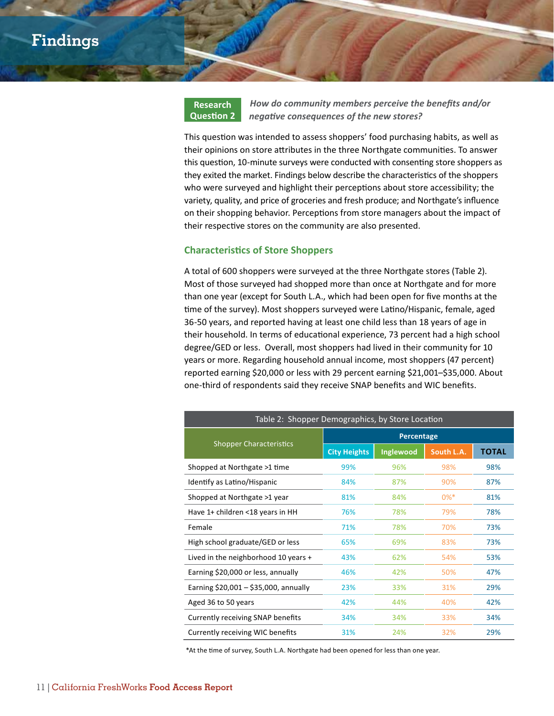

*How do community members perceive the benefits and/or negative consequences of the new stores?*

This question was intended to assess shoppers' food purchasing habits, as well as their opinions on store attributes in the three Northgate communities. To answer this question, 10-minute surveys were conducted with consenting store shoppers as they exited the market. Findings below describe the characteristics of the shoppers who were surveyed and highlight their perceptions about store accessibility; the variety, quality, and price of groceries and fresh produce; and Northgate's influence on their shopping behavior. Perceptions from store managers about the impact of their respective stores on the community are also presented.

#### **Characteristics of Store Shoppers**

A total of 600 shoppers were surveyed at the three Northgate stores (Table 2). Most of those surveyed had shopped more than once at Northgate and for more than one year (except for South L.A., which had been open for five months at the time of the survey). Most shoppers surveyed were Latino/Hispanic, female, aged 36-50 years, and reported having at least one child less than 18 years of age in their household. In terms of educational experience, 73 percent had a high school degree/GED or less. Overall, most shoppers had lived in their community for 10 years or more. Regarding household annual income, most shoppers (47 percent) reported earning \$20,000 or less with 29 percent earning \$21,001–\$35,000. About one-third of respondents said they receive SNAP benefits and WIC benefits.

| Table 2: Shopper Demographics, by Store Location |                     |           |            |              |  |  |  |
|--------------------------------------------------|---------------------|-----------|------------|--------------|--|--|--|
|                                                  | Percentage          |           |            |              |  |  |  |
| <b>Shopper Characteristics</b>                   | <b>City Heights</b> | Inglewood | South L.A. | <b>TOTAL</b> |  |  |  |
| Shopped at Northgate >1 time                     | 99%                 | 96%       | 98%        | 98%          |  |  |  |
| Identify as Latino/Hispanic                      | 84%                 | 87%       | 90%        | 87%          |  |  |  |
| Shopped at Northgate >1 year                     | 81%                 | 84%       | $0\%$ *    | 81%          |  |  |  |
| Have 1+ children <18 years in HH                 | 76%                 | 78%       | 79%        | 78%          |  |  |  |
| Female                                           | 71%                 | 78%       | 70%        | 73%          |  |  |  |
| High school graduate/GED or less                 | 65%                 | 69%       | 83%        | 73%          |  |  |  |
| Lived in the neighborhood 10 years $+$           | 43%                 | 62%       | 54%        | 53%          |  |  |  |
| Earning \$20,000 or less, annually               | 46%                 | 42%       | 50%        | 47%          |  |  |  |
| Earning $$20,001 - $35,000$ , annually           | 23%                 | 33%       | 31%        | 29%          |  |  |  |
| Aged 36 to 50 years                              | 42%                 | 44%       | 40%        | 42%          |  |  |  |
| Currently receiving SNAP benefits                | 34%                 | 34%       | 33%        | 34%          |  |  |  |
| Currently receiving WIC benefits                 | 31%                 | 24%       | 32%        | 29%          |  |  |  |

\*At the time of survey, South L.A. Northgate had been opened for less than one year.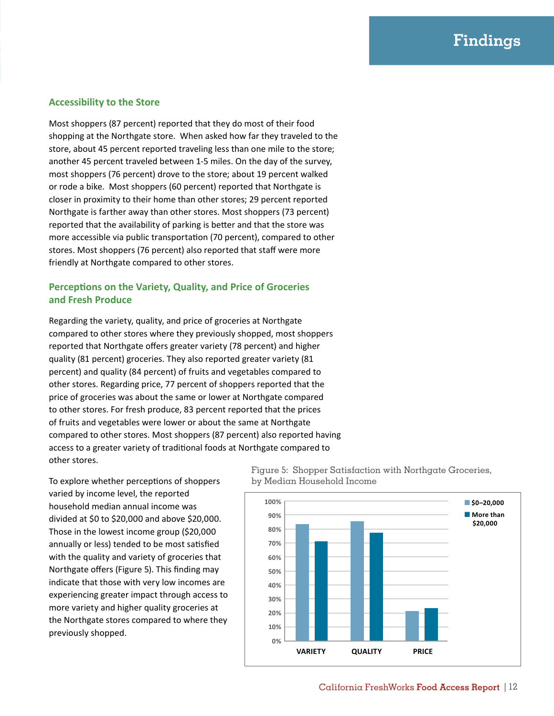### **Findings**

#### **Accessibility to the Store**

Most shoppers (87 percent) reported that they do most of their food shopping at the Northgate store. When asked how far they traveled to the store, about 45 percent reported traveling less than one mile to the store; another 45 percent traveled between 1-5 miles. On the day of the survey, most shoppers (76 percent) drove to the store; about 19 percent walked or rode a bike. Most shoppers (60 percent) reported that Northgate is closer in proximity to their home than other stores; 29 percent reported Northgate is farther away than other stores. Most shoppers (73 percent) reported that the availability of parking is better and that the store was more accessible via public transportation (70 percent), compared to other stores. Most shoppers (76 percent) also reported that staff were more friendly at Northgate compared to other stores.

#### **Perceptions on the Variety, Quality, and Price of Groceries and Fresh Produce**

Regarding the variety, quality, and price of groceries at Northgate compared to other stores where they previously shopped, most shoppers reported that Northgate offers greater variety (78 percent) and higher quality (81 percent) groceries. They also reported greater variety (81 percent) and quality (84 percent) of fruits and vegetables compared to other stores. Regarding price, 77 percent of shoppers reported that the price of groceries was about the same or lower at Northgate compared to other stores. For fresh produce, 83 percent reported that the prices of fruits and vegetables were lower or about the same at Northgate compared to other stores. Most shoppers (87 percent) also reported having access to a greater variety of traditional foods at Northgate compared to other stores.

To explore whether perceptions of shoppers varied by income level, the reported household median annual income was divided at \$0 to \$20,000 and above \$20,000. Those in the lowest income group (\$20,000 annually or less) tended to be most satisfied with the quality and variety of groceries that Northgate offers (Figure 5). This finding may indicate that those with very low incomes are experiencing greater impact through access to more variety and higher quality groceries at the Northgate stores compared to where they previously shopped.

Figure 5: Shopper Satisfaction with Northgate Groceries, by Median Household Income

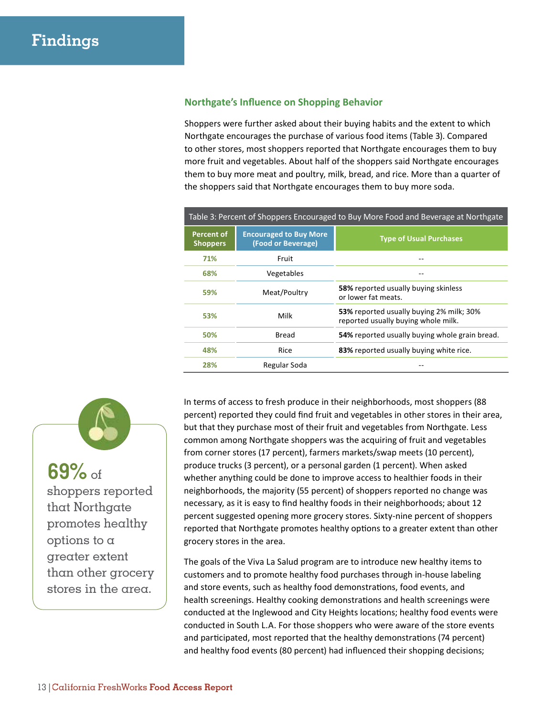#### **Northgate's Influence on Shopping Behavior**

Shoppers were further asked about their buying habits and the extent to which Northgate encourages the purchase of various food items (Table 3). Compared to other stores, most shoppers reported that Northgate encourages them to buy more fruit and vegetables. About half of the shoppers said Northgate encourages them to buy more meat and poultry, milk, bread, and rice. More than a quarter of the shoppers said that Northgate encourages them to buy more soda.

| Table 3: Percent of Shoppers Encouraged to Buy More Food and Beverage at Northgate |                                                     |                                                                                 |  |  |  |
|------------------------------------------------------------------------------------|-----------------------------------------------------|---------------------------------------------------------------------------------|--|--|--|
| <b>Percent of</b><br><b>Shoppers</b>                                               | <b>Encouraged to Buy More</b><br>(Food or Beverage) | <b>Type of Usual Purchases</b>                                                  |  |  |  |
| 71%                                                                                | Fruit                                               |                                                                                 |  |  |  |
| 68%                                                                                | Vegetables                                          |                                                                                 |  |  |  |
| 59%                                                                                | Meat/Poultry                                        | 58% reported usually buying skinless<br>or lower fat meats.                     |  |  |  |
| 53%                                                                                | Milk                                                | 53% reported usually buying 2% milk; 30%<br>reported usually buying whole milk. |  |  |  |
| 50%                                                                                | Bread                                               | 54% reported usually buying whole grain bread.                                  |  |  |  |
| 48%                                                                                | Rice                                                | 83% reported usually buying white rice.                                         |  |  |  |
| 28%                                                                                | Regular Soda                                        |                                                                                 |  |  |  |

# **69%** of

shoppers reported that Northgate promotes healthy options to a greater extent than other grocery stores in the area.

In terms of access to fresh produce in their neighborhoods, most shoppers (88 percent) reported they could find fruit and vegetables in other stores in their area, but that they purchase most of their fruit and vegetables from Northgate. Less common among Northgate shoppers was the acquiring of fruit and vegetables from corner stores (17 percent), farmers markets/swap meets (10 percent), produce trucks (3 percent), or a personal garden (1 percent). When asked whether anything could be done to improve access to healthier foods in their neighborhoods, the majority (55 percent) of shoppers reported no change was necessary, as it is easy to find healthy foods in their neighborhoods; about 12 percent suggested opening more grocery stores. Sixty-nine percent of shoppers reported that Northgate promotes healthy options to a greater extent than other grocery stores in the area.

The goals of the Viva La Salud program are to introduce new healthy items to customers and to promote healthy food purchases through in-house labeling and store events, such as healthy food demonstrations, food events, and health screenings. Healthy cooking demonstrations and health screenings were conducted at the Inglewood and City Heights locations; healthy food events were conducted in South L.A. For those shoppers who were aware of the store events and participated, most reported that the healthy demonstrations (74 percent) and healthy food events (80 percent) had influenced their shopping decisions;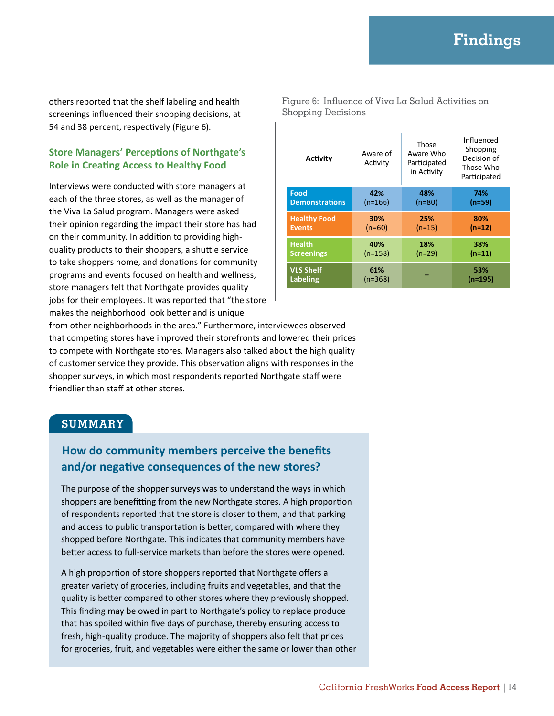others reported that the shelf labeling and health screenings influenced their shopping decisions, at 54 and 38 percent, respectively (Figure 6).

#### **Store Managers' Perceptions of Northgate's Role in Creating Access to Healthy Food**

Interviews were conducted with store managers at each of the three stores, as well as the manager of the Viva La Salud program. Managers were asked their opinion regarding the impact their store has had on their community. In addition to providing highquality products to their shoppers, a shuttle service to take shoppers home, and donations for community programs and events focused on health and wellness, store managers felt that Northgate provides quality jobs for their employees. It was reported that "the store makes the neighborhood look better and is unique

Figure 6: Influence of Viva La Salud Activities on Shopping Decisions

| Activity              | Aware of<br>Activity | Those<br>Aware Who<br>Participated<br>in Activity | Influenced<br>Shopping<br>Decision of<br>Those Who<br>Participated |
|-----------------------|----------------------|---------------------------------------------------|--------------------------------------------------------------------|
| Food                  | 42%                  | 48%                                               | 74%                                                                |
| <b>Demonstrations</b> | $(n=166)$            | $(n=80)$                                          | $(n=59)$                                                           |
| <b>Healthy Food</b>   | 30%                  | 25%                                               | 80%                                                                |
| <b>Events</b>         | $(n=60)$             | $(n=15)$                                          | $(n=12)$                                                           |
| <b>Health</b>         | 40%                  | 18%                                               | 38%                                                                |
| <b>Screenings</b>     | $(n=158)$            | $(n=29)$                                          | $(n=11)$                                                           |
| <b>VLS Shelf</b>      | 61%                  |                                                   | 53%                                                                |
| Labeling              | $(n=368)$            |                                                   | $(n=195)$                                                          |

from other neighborhoods in the area." Furthermore, interviewees observed that competing stores have improved their storefronts and lowered their prices to compete with Northgate stores. Managers also talked about the high quality of customer service they provide. This observation aligns with responses in the shopper surveys, in which most respondents reported Northgate staff were friendlier than staff at other stores.

#### **SUMMARY**

#### **How do community members perceive the benefits and/or negative consequences of the new stores?**

The purpose of the shopper surveys was to understand the ways in which shoppers are benefitting from the new Northgate stores. A high proportion of respondents reported that the store is closer to them, and that parking and access to public transportation is better, compared with where they shopped before Northgate. This indicates that community members have better access to full-service markets than before the stores were opened.

A high proportion of store shoppers reported that Northgate offers a greater variety of groceries, including fruits and vegetables, and that the quality is better compared to other stores where they previously shopped. This finding may be owed in part to Northgate's policy to replace produce that has spoiled within five days of purchase, thereby ensuring access to fresh, high-quality produce. The majority of shoppers also felt that prices for groceries, fruit, and vegetables were either the same or lower than other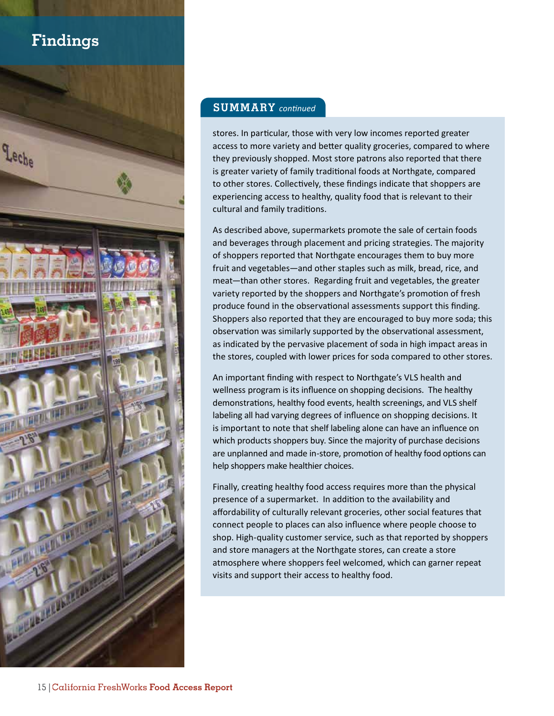## **Findings**



#### **SUMMARY** *continued*

stores. In particular, those with very low incomes reported greater access to more variety and better quality groceries, compared to where they previously shopped. Most store patrons also reported that there is greater variety of family traditional foods at Northgate, compared to other stores. Collectively, these findings indicate that shoppers are experiencing access to healthy, quality food that is relevant to their cultural and family traditions.

As described above, supermarkets promote the sale of certain foods and beverages through placement and pricing strategies. The majority of shoppers reported that Northgate encourages them to buy more fruit and vegetables—and other staples such as milk, bread, rice, and meat—than other stores. Regarding fruit and vegetables, the greater variety reported by the shoppers and Northgate's promotion of fresh produce found in the observational assessments support this finding. Shoppers also reported that they are encouraged to buy more soda; this observation was similarly supported by the observational assessment, as indicated by the pervasive placement of soda in high impact areas in the stores, coupled with lower prices for soda compared to other stores.

An important finding with respect to Northgate's VLS health and wellness program is its influence on shopping decisions. The healthy demonstrations, healthy food events, health screenings, and VLS shelf labeling all had varying degrees of influence on shopping decisions. It is important to note that shelf labeling alone can have an influence on which products shoppers buy. Since the majority of purchase decisions are unplanned and made in-store, promotion of healthy food options can help shoppers make healthier choices.

Finally, creating healthy food access requires more than the physical presence of a supermarket. In addition to the availability and affordability of culturally relevant groceries, other social features that connect people to places can also influence where people choose to shop. High-quality customer service, such as that reported by shoppers and store managers at the Northgate stores, can create a store atmosphere where shoppers feel welcomed, which can garner repeat visits and support their access to healthy food.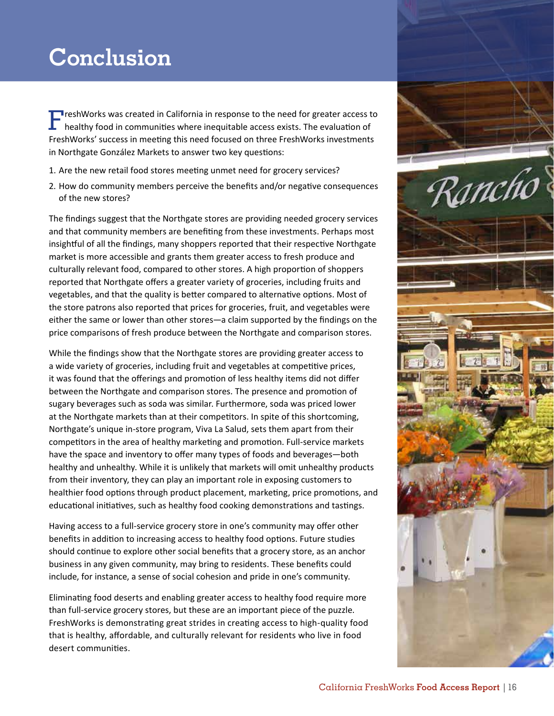# **Conclusion**

**FREM** resh Works was created in California in response to the need for greater access to healthy food in communities where inequitable access exists. The evaluation of FreshWorks' success in meeting this need focused on three FreshWorks investments in Northgate González Markets to answer two key questions:

- 1. Are the new retail food stores meeting unmet need for grocery services?
- 2. How do community members perceive the benefits and/or negative consequences of the new stores?

The findings suggest that the Northgate stores are providing needed grocery services and that community members are benefiting from these investments. Perhaps most insightful of all the findings, many shoppers reported that their respective Northgate market is more accessible and grants them greater access to fresh produce and culturally relevant food, compared to other stores. A high proportion of shoppers reported that Northgate offers a greater variety of groceries, including fruits and vegetables, and that the quality is better compared to alternative options. Most of the store patrons also reported that prices for groceries, fruit, and vegetables were either the same or lower than other stores—a claim supported by the findings on the price comparisons of fresh produce between the Northgate and comparison stores.

While the findings show that the Northgate stores are providing greater access to a wide variety of groceries, including fruit and vegetables at competitive prices, it was found that the offerings and promotion of less healthy items did not differ between the Northgate and comparison stores. The presence and promotion of sugary beverages such as soda was similar. Furthermore, soda was priced lower at the Northgate markets than at their competitors. In spite of this shortcoming, Northgate's unique in-store program, Viva La Salud, sets them apart from their competitors in the area of healthy marketing and promotion. Full-service markets have the space and inventory to offer many types of foods and beverages—both healthy and unhealthy. While it is unlikely that markets will omit unhealthy products from their inventory, they can play an important role in exposing customers to healthier food options through product placement, marketing, price promotions, and educational initiatives, such as healthy food cooking demonstrations and tastings.

Having access to a full-service grocery store in one's community may offer other benefits in addition to increasing access to healthy food options. Future studies should continue to explore other social benefits that a grocery store, as an anchor business in any given community, may bring to residents. These benefits could include, for instance, a sense of social cohesion and pride in one's community.

Eliminating food deserts and enabling greater access to healthy food require more than full-service grocery stores, but these are an important piece of the puzzle. FreshWorks is demonstrating great strides in creating access to high-quality food that is healthy, affordable, and culturally relevant for residents who live in food desert communities.

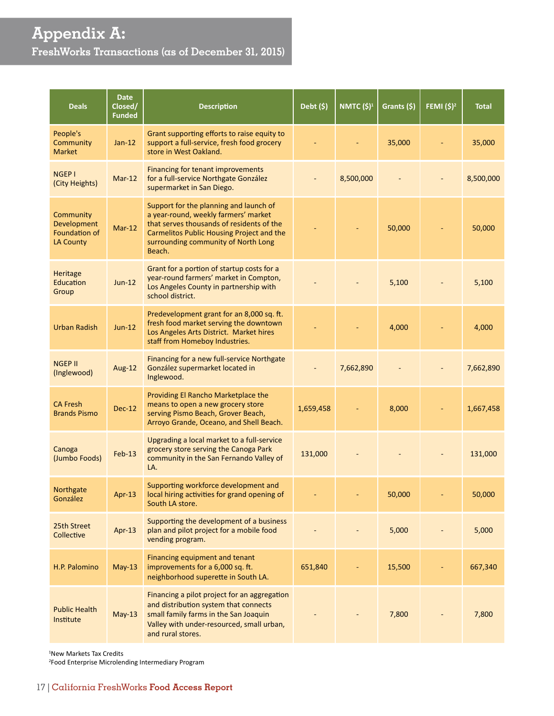## **Appendix A: FreshWorks Transactions (as of December 31, 2015)**

| <b>Deals</b>                                                  | <b>Date</b><br>Closed/<br><b>Funded</b> | <b>Description</b>                                                                                                                                                                                                        | Debt (\$) | NMTC (\$) <sup>1</sup> | Grants (\$) | FEMI $(5)^2$ | <b>Total</b> |
|---------------------------------------------------------------|-----------------------------------------|---------------------------------------------------------------------------------------------------------------------------------------------------------------------------------------------------------------------------|-----------|------------------------|-------------|--------------|--------------|
| People's<br>Community<br><b>Market</b>                        | $Jan-12$                                | Grant supporting efforts to raise equity to<br>support a full-service, fresh food grocery<br>store in West Oakland.                                                                                                       |           |                        | 35,000      |              | 35,000       |
| <b>NGEP1</b><br>(City Heights)                                | $Mar-12$                                | Financing for tenant improvements<br>for a full-service Northgate González<br>supermarket in San Diego.                                                                                                                   |           | 8,500,000              |             |              | 8,500,000    |
| Community<br>Development<br>Foundation of<br><b>LA County</b> | $Mar-12$                                | Support for the planning and launch of<br>a year-round, weekly farmers' market<br>that serves thousands of residents of the<br>Carmelitos Public Housing Project and the<br>surrounding community of North Long<br>Beach. |           |                        | 50,000      |              | 50,000       |
| <b>Heritage</b><br><b>Education</b><br>Group                  | $Jun-12$                                | Grant for a portion of startup costs for a<br>year-round farmers' market in Compton,<br>Los Angeles County in partnership with<br>school district.                                                                        |           |                        | 5,100       |              | 5,100        |
| <b>Urban Radish</b>                                           | $Jun-12$                                | Predevelopment grant for an 8,000 sq. ft.<br>fresh food market serving the downtown<br>Los Angeles Arts District. Market hires<br>staff from Homeboy Industries.                                                          |           |                        | 4,000       |              | 4,000        |
| <b>NGEP II</b><br>(Inglewood)                                 | Aug-12                                  | Financing for a new full-service Northgate<br>González supermarket located in<br>Inglewood.                                                                                                                               |           | 7,662,890              |             |              | 7,662,890    |
| <b>CA Fresh</b><br><b>Brands Pismo</b>                        | <b>Dec-12</b>                           | Providing El Rancho Marketplace the<br>means to open a new grocery store<br>serving Pismo Beach, Grover Beach,<br>Arroyo Grande, Oceano, and Shell Beach.                                                                 | 1,659,458 |                        | 8,000       |              | 1,667,458    |
| Canoga<br>(Jumbo Foods)                                       | $Feb-13$                                | Upgrading a local market to a full-service<br>grocery store serving the Canoga Park<br>community in the San Fernando Valley of<br>LA.                                                                                     | 131,000   |                        |             |              | 131,000      |
| Northgate<br>González                                         | $Apr-13$                                | Supporting workforce development and<br>local hiring activities for grand opening of<br>South LA store.                                                                                                                   |           |                        | 50,000      |              | 50,000       |
| 25th Street<br>Collective                                     | Apr-13                                  | Supporting the development of a business<br>plan and pilot project for a mobile food<br>vending program.                                                                                                                  |           |                        | 5,000       |              | 5,000        |
| H.P. Palomino                                                 | $May-13$                                | Financing equipment and tenant<br>improvements for a 6,000 sq. ft.<br>neighborhood superette in South LA.                                                                                                                 | 651,840   |                        | 15,500      |              | 667,340      |
| <b>Public Health</b><br>Institute                             | $May-13$                                | Financing a pilot project for an aggregation<br>and distribution system that connects<br>small family farms in the San Joaquin<br>Valley with under-resourced, small urban,<br>and rural stores.                          |           |                        | 7,800       |              | 7,800        |

1 New Markets Tax Credits

2 Food Enterprise Microlending Intermediary Program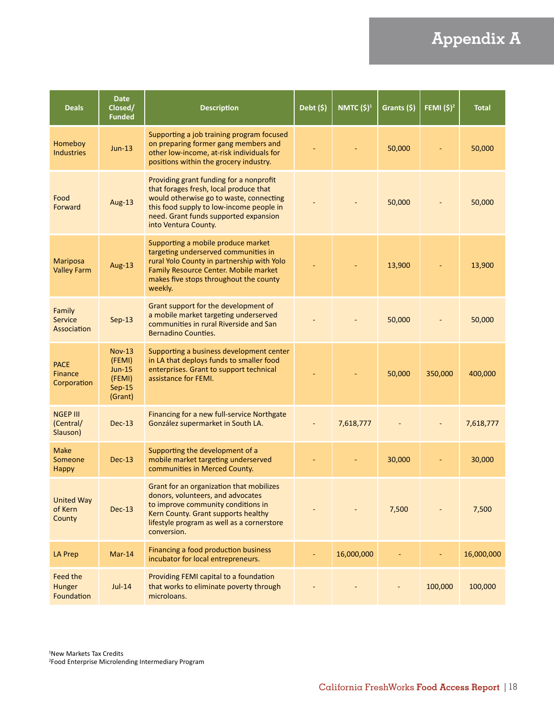# **Appendix A**

| <b>Deals</b>                                 | <b>Date</b><br>Closed/<br><b>Funded</b>                            | <b>Description</b>                                                                                                                                                                                                                        | Debt (\$) | NMTC (\$) <sup>1</sup> | Grants (\$) | FEMI $(5)^2$ | <b>Total</b> |
|----------------------------------------------|--------------------------------------------------------------------|-------------------------------------------------------------------------------------------------------------------------------------------------------------------------------------------------------------------------------------------|-----------|------------------------|-------------|--------------|--------------|
| Homeboy<br><b>Industries</b>                 | $Jun-13$                                                           | Supporting a job training program focused<br>on preparing former gang members and<br>other low-income, at-risk individuals for<br>positions within the grocery industry.                                                                  |           |                        | 50,000      |              | 50,000       |
| Food<br>Forward                              | Aug-13                                                             | Providing grant funding for a nonprofit<br>that forages fresh, local produce that<br>would otherwise go to waste, connecting<br>this food supply to low-income people in<br>need. Grant funds supported expansion<br>into Ventura County. |           |                        | 50,000      |              | 50,000       |
| <b>Mariposa</b><br><b>Valley Farm</b>        | Aug-13                                                             | Supporting a mobile produce market<br>targeting underserved communities in<br>rural Yolo County in partnership with Yolo<br>Family Resource Center. Mobile market<br>makes five stops throughout the county<br>weekly.                    |           |                        | 13,900      |              | 13,900       |
| Family<br>Service<br>Association             | $Sep-13$                                                           | Grant support for the development of<br>a mobile market targeting underserved<br>communities in rural Riverside and San<br><b>Bernadino Counties.</b>                                                                                     |           |                        | 50,000      |              | 50,000       |
| <b>PACE</b><br><b>Finance</b><br>Corporation | $Nov-13$<br>(FEMI)<br><b>Jun-15</b><br>(FEMI)<br>Sep-15<br>(Grant) | Supporting a business development center<br>in LA that deploys funds to smaller food<br>enterprises. Grant to support technical<br>assistance for FEMI.                                                                                   |           |                        | 50,000      | 350,000      | 400,000      |
| <b>NGEP III</b><br>(Central/<br>Slauson)     | $Dec-13$                                                           | Financing for a new full-service Northgate<br>González supermarket in South LA.                                                                                                                                                           |           | 7,618,777              |             |              | 7,618,777    |
| <b>Make</b><br>Someone<br><b>Happy</b>       | $Dec-13$                                                           | Supporting the development of a<br>mobile market targeting underserved<br>communities in Merced County.                                                                                                                                   |           |                        | 30,000      |              | 30,000       |
| <b>United Way</b><br>of Kern<br>County       | <b>Dec-13</b>                                                      | Grant for an organization that mobilizes<br>donors, volunteers, and advocates<br>to improve community conditions in<br>Kern County. Grant supports healthy<br>lifestyle program as well as a cornerstore<br>conversion.                   |           |                        | 7,500       |              | 7,500        |
| <b>LA Prep</b>                               | $Mar-14$                                                           | Financing a food production business<br>incubator for local entrepreneurs.                                                                                                                                                                |           | 16,000,000             |             |              | 16,000,000   |
| Feed the<br>Hunger<br>Foundation             | $Jul-14$                                                           | Providing FEMI capital to a foundation<br>that works to eliminate poverty through<br>microloans.                                                                                                                                          |           |                        |             | 100,000      | 100,000      |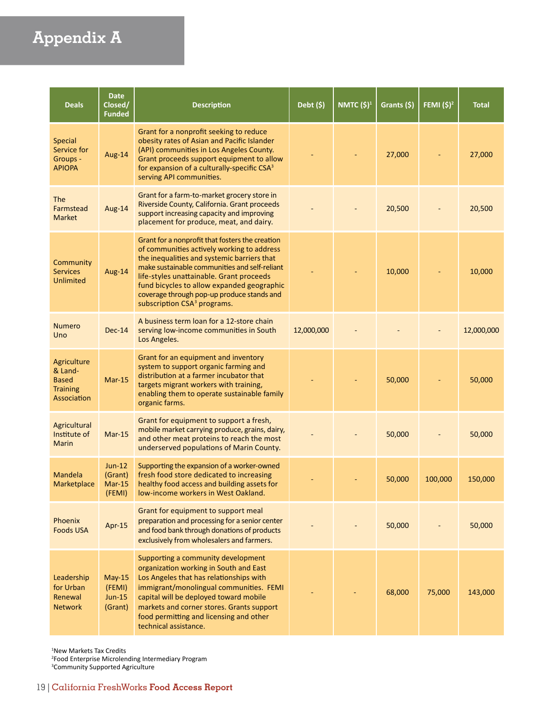# **Appendix A**

| <b>Deals</b>                                                             | <b>Date</b><br>Closed/<br><b>Funded</b>   | <b>Description</b>                                                                                                                                                                                                                                                                                                                                                               | Debt $(\$)$ | NMTC (\$) <sup>1</sup> | Grants (\$) | <b>FEMI</b> (\$) <sup>2</sup> | <b>Total</b> |
|--------------------------------------------------------------------------|-------------------------------------------|----------------------------------------------------------------------------------------------------------------------------------------------------------------------------------------------------------------------------------------------------------------------------------------------------------------------------------------------------------------------------------|-------------|------------------------|-------------|-------------------------------|--------------|
| <b>Special</b><br>Service for<br>Groups -<br><b>APIOPA</b>               | Aug-14                                    | Grant for a nonprofit seeking to reduce<br>obesity rates of Asian and Pacific Islander<br>(API) communities in Los Angeles County.<br>Grant proceeds support equipment to allow<br>for expansion of a culturally-specific CSA <sup>3</sup><br>serving API communities.                                                                                                           |             |                        | 27,000      |                               | 27,000       |
| <b>The</b><br>Farmstead<br><b>Market</b>                                 | Aug-14                                    | Grant for a farm-to-market grocery store in<br>Riverside County, California. Grant proceeds<br>support increasing capacity and improving<br>placement for produce, meat, and dairy.                                                                                                                                                                                              |             |                        | 20,500      |                               | 20,500       |
| Community<br><b>Services</b><br>Unlimited                                | Aug-14                                    | Grant for a nonprofit that fosters the creation<br>of communities actively working to address<br>the inequalities and systemic barriers that<br>make sustainable communities and self-reliant<br>life-styles unattainable. Grant proceeds<br>fund bicycles to allow expanded geographic<br>coverage through pop-up produce stands and<br>subscription CSA <sup>3</sup> programs. |             |                        | 10,000      |                               | 10,000       |
| <b>Numero</b><br>Uno                                                     | $Dec-14$                                  | A business term loan for a 12-store chain<br>serving low-income communities in South<br>Los Angeles.                                                                                                                                                                                                                                                                             | 12,000,000  |                        |             |                               | 12,000,000   |
| Agriculture<br>& Land-<br><b>Based</b><br><b>Training</b><br>Association | $Mar-15$                                  | Grant for an equipment and inventory<br>system to support organic farming and<br>distribution at a farmer incubator that<br>targets migrant workers with training,<br>enabling them to operate sustainable family<br>organic farms.                                                                                                                                              |             |                        | 50,000      |                               | 50,000       |
| Agricultural<br>Institute of<br><b>Marin</b>                             | $Mar-15$                                  | Grant for equipment to support a fresh,<br>mobile market carrying produce, grains, dairy,<br>and other meat proteins to reach the most<br>underserved populations of Marin County.                                                                                                                                                                                               |             |                        | 50,000      |                               | 50,000       |
| Mandela<br>Marketplace                                                   | $Jun-12$<br>(Grant)<br>$Mar-15$<br>(FEMI) | Supporting the expansion of a worker-owned<br>fresh food store dedicated to increasing<br>healthy food access and building assets for<br>low-income workers in West Oakland.                                                                                                                                                                                                     |             |                        | 50,000      | 100,000                       | 150,000      |
| Phoenix<br><b>Foods USA</b>                                              | Apr-15                                    | Grant for equipment to support meal<br>preparation and processing for a senior center<br>and food bank through donations of products<br>exclusively from wholesalers and farmers.                                                                                                                                                                                                |             |                        | 50,000      |                               | 50,000       |
| Leadership<br>for Urban<br>Renewal<br><b>Network</b>                     | $May-15$<br>(FEMI)<br>$Jun-15$<br>(Grant) | Supporting a community development<br>organization working in South and East<br>Los Angeles that has relationships with<br>immigrant/monolingual communities. FEMI<br>capital will be deployed toward mobile<br>markets and corner stores. Grants support<br>food permitting and licensing and other<br>technical assistance.                                                    |             |                        | 68,000      | 75,000                        | 143,000      |

1 New Markets Tax Credits

2 Food Enterprise Microlending Intermediary Program 3 Community Supported Agriculture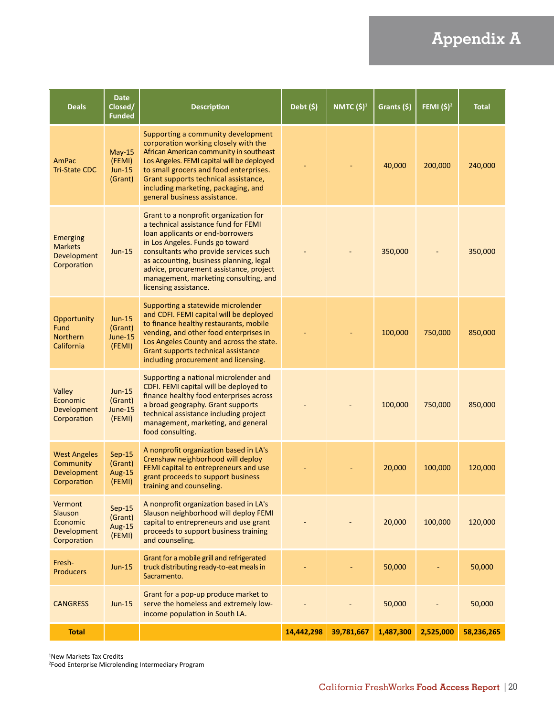# **Appendix A**

| <b>Deals</b>                                                           | <b>Date</b><br>Closed/<br><b>Funded</b>        | <b>Description</b>                                                                                                                                                                                                                                                                                                                                    | Debt $(\$)$ | NMTC (\$) <sup>1</sup> | Grants (\$) | <b>FEMI</b> (\$) <sup>2</sup> | <b>Total</b> |
|------------------------------------------------------------------------|------------------------------------------------|-------------------------------------------------------------------------------------------------------------------------------------------------------------------------------------------------------------------------------------------------------------------------------------------------------------------------------------------------------|-------------|------------------------|-------------|-------------------------------|--------------|
| AmPac<br><b>Tri-State CDC</b>                                          | $May-15$<br>(FEMI)<br><b>Jun-15</b><br>(Grant) | Supporting a community development<br>corporation working closely with the<br>African American community in southeast<br>Los Angeles. FEMI capital will be deployed<br>to small grocers and food enterprises.<br>Grant supports technical assistance,<br>including marketing, packaging, and<br>general business assistance.                          |             |                        | 40,000      | 200,000                       | 240,000      |
| <b>Emerging</b><br><b>Markets</b><br><b>Development</b><br>Corporation | $Jun-15$                                       | Grant to a nonprofit organization for<br>a technical assistance fund for FEMI<br>loan applicants or end-borrowers<br>in Los Angeles. Funds go toward<br>consultants who provide services such<br>as accounting, business planning, legal<br>advice, procurement assistance, project<br>management, marketing consulting, and<br>licensing assistance. |             |                        | 350,000     |                               | 350,000      |
| Opportunity<br>Fund<br><b>Northern</b><br>California                   | <b>Jun-15</b><br>(Grant)<br>June-15<br>(FEMI)  | Supporting a statewide microlender<br>and CDFI. FEMI capital will be deployed<br>to finance healthy restaurants, mobile<br>vending, and other food enterprises in<br>Los Angeles County and across the state.<br>Grant supports technical assistance<br>including procurement and licensing.                                                          |             |                        | 100,000     | 750,000                       | 850,000      |
| Valley<br>Economic<br>Development<br>Corporation                       | $Jun-15$<br>(Grant)<br>June-15<br>(FEMI)       | Supporting a national microlender and<br>CDFI. FEMI capital will be deployed to<br>finance healthy food enterprises across<br>a broad geography. Grant supports<br>technical assistance including project<br>management, marketing, and general<br>food consulting.                                                                                   |             |                        | 100,000     | 750,000                       | 850,000      |
| <b>West Angeles</b><br>Community<br>Development<br>Corporation         | $Sep-15$<br>(Grant)<br>Aug-15<br>(FEMI)        | A nonprofit organization based in LA's<br>Crenshaw neighborhood will deploy<br>FEMI capital to entrepreneurs and use<br>grant proceeds to support business<br>training and counseling.                                                                                                                                                                |             |                        | 20,000      | 100,000                       | 120,000      |
| Vermont<br><b>Slauson</b><br>Economic<br>Development<br>Corporation    | $Sep-15$<br>(Grant)<br><b>Aug-15</b><br>(FEMI) | A nonprofit organization based in LA's<br>Slauson neighborhood will deploy FEMI<br>capital to entrepreneurs and use grant<br>proceeds to support business training<br>and counseling.                                                                                                                                                                 |             |                        | 20,000      | 100,000                       | 120,000      |
| Fresh-<br><b>Producers</b>                                             | $Jun-15$                                       | Grant for a mobile grill and refrigerated<br>truck distributing ready-to-eat meals in<br>Sacramento.                                                                                                                                                                                                                                                  |             |                        | 50,000      |                               | 50,000       |
| <b>CANGRESS</b>                                                        | $Jun-15$                                       | Grant for a pop-up produce market to<br>serve the homeless and extremely low-<br>income population in South LA.                                                                                                                                                                                                                                       |             |                        | 50,000      |                               | 50,000       |
| <b>Total</b>                                                           |                                                |                                                                                                                                                                                                                                                                                                                                                       | 14,442,298  | 39,781,667             | 1,487,300   | 2,525,000                     | 58,236,265   |

1 New Markets Tax Credits 2 Food Enterprise Microlending Intermediary Program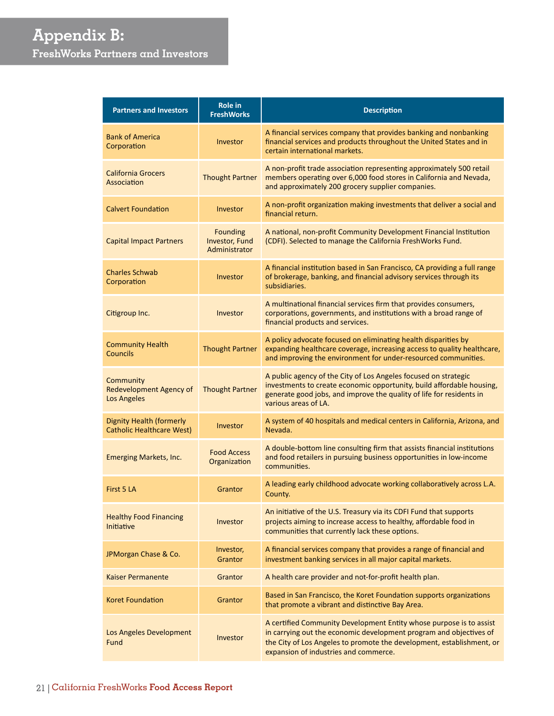# **Appendix B: FreshWorks Partners and Investors**

| <b>Partners and Investors</b>                                       | <b>Role in</b><br><b>FreshWorks</b>                       | <b>Description</b>                                                                                                                                                                                                                                          |
|---------------------------------------------------------------------|-----------------------------------------------------------|-------------------------------------------------------------------------------------------------------------------------------------------------------------------------------------------------------------------------------------------------------------|
| <b>Bank of America</b><br>Corporation                               | Investor                                                  | A financial services company that provides banking and nonbanking<br>financial services and products throughout the United States and in<br>certain international markets.                                                                                  |
| <b>California Grocers</b><br>Association                            | <b>Thought Partner</b>                                    | A non-profit trade association representing approximately 500 retail<br>members operating over 6,000 food stores in California and Nevada,<br>and approximately 200 grocery supplier companies.                                                             |
| <b>Calvert Foundation</b>                                           | Investor                                                  | A non-profit organization making investments that deliver a social and<br>financial return.                                                                                                                                                                 |
| <b>Capital Impact Partners</b>                                      | <b>Founding</b><br><b>Investor, Fund</b><br>Administrator | A national, non-profit Community Development Financial Institution<br>(CDFI). Selected to manage the California FreshWorks Fund.                                                                                                                            |
| <b>Charles Schwab</b><br>Corporation                                | Investor                                                  | A financial institution based in San Francisco, CA providing a full range<br>of brokerage, banking, and financial advisory services through its<br>subsidiaries.                                                                                            |
| Citigroup Inc.                                                      | Investor                                                  | A multinational financial services firm that provides consumers,<br>corporations, governments, and institutions with a broad range of<br>financial products and services.                                                                                   |
| <b>Community Health</b><br><b>Councils</b>                          | <b>Thought Partner</b>                                    | A policy advocate focused on eliminating health disparities by<br>expanding healthcare coverage, increasing access to quality healthcare,<br>and improving the environment for under-resourced communities.                                                 |
| Community<br>Redevelopment Agency of<br><b>Los Angeles</b>          | <b>Thought Partner</b>                                    | A public agency of the City of Los Angeles focused on strategic<br>investments to create economic opportunity, build affordable housing,<br>generate good jobs, and improve the quality of life for residents in<br>various areas of LA.                    |
| <b>Dignity Health (formerly</b><br><b>Catholic Healthcare West)</b> | Investor                                                  | A system of 40 hospitals and medical centers in California, Arizona, and<br>Nevada.                                                                                                                                                                         |
| Emerging Markets, Inc.                                              | <b>Food Access</b><br>Organization                        | A double-bottom line consulting firm that assists financial institutions<br>and food retailers in pursuing business opportunities in low-income<br>communities.                                                                                             |
| First 5 LA                                                          | Grantor                                                   | A leading early childhood advocate working collaboratively across L.A.<br>County.                                                                                                                                                                           |
| <b>Healthy Food Financing</b><br>Initiative                         | Investor                                                  | An initiative of the U.S. Treasury via its CDFI Fund that supports<br>projects aiming to increase access to healthy, affordable food in<br>communities that currently lack these options.                                                                   |
| JPMorgan Chase & Co.                                                | Investor,<br>Grantor                                      | A financial services company that provides a range of financial and<br>investment banking services in all major capital markets.                                                                                                                            |
| <b>Kaiser Permanente</b>                                            | Grantor                                                   | A health care provider and not-for-profit health plan.                                                                                                                                                                                                      |
| <b>Koret Foundation</b>                                             | Grantor                                                   | Based in San Francisco, the Koret Foundation supports organizations<br>that promote a vibrant and distinctive Bay Area.                                                                                                                                     |
| Los Angeles Development<br>Fund                                     | Investor                                                  | A certified Community Development Entity whose purpose is to assist<br>in carrying out the economic development program and objectives of<br>the City of Los Angeles to promote the development, establishment, or<br>expansion of industries and commerce. |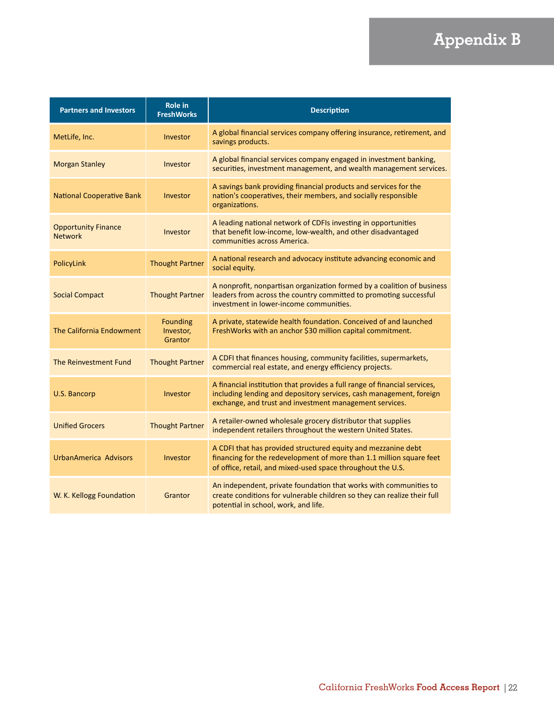# **Appendix B**

| <b>Partners and Investors</b>                | <b>Role in</b><br><b>FreshWorks</b>     | <b>Description</b>                                                                                                                                                                                          |
|----------------------------------------------|-----------------------------------------|-------------------------------------------------------------------------------------------------------------------------------------------------------------------------------------------------------------|
| MetLife, Inc.                                | Investor                                | A global financial services company offering insurance, retirement, and<br>savings products.                                                                                                                |
| <b>Morgan Stanley</b>                        | Investor                                | A global financial services company engaged in investment banking,<br>securities, investment management, and wealth management services.                                                                    |
| National Cooperative Bank                    | Investor                                | A savings bank providing financial products and services for the<br>nation's cooperatives, their members, and socially responsible<br>organizations.                                                        |
| <b>Opportunity Finance</b><br><b>Network</b> | Investor                                | A leading national network of CDFIs investing in opportunities<br>that benefit low-income, low-wealth, and other disadvantaged<br>communities across America.                                               |
| PolicyLink                                   | <b>Thought Partner</b>                  | A national research and advocacy institute advancing economic and<br>social equity.                                                                                                                         |
| <b>Social Compact</b>                        | <b>Thought Partner</b>                  | A nonprofit, nonpartisan organization formed by a coalition of business<br>leaders from across the country committed to promoting successful<br>investment in lower-income communities.                     |
| The California Endowment                     | <b>Founding</b><br>Investor,<br>Grantor | A private, statewide health foundation. Conceived of and launched<br>FreshWorks with an anchor \$30 million capital commitment.                                                                             |
| The Reinvestment Fund                        | <b>Thought Partner</b>                  | A CDFI that finances housing, community facilities, supermarkets,<br>commercial real estate, and energy efficiency projects.                                                                                |
| U.S. Bancorp                                 | Investor                                | A financial institution that provides a full range of financial services,<br>including lending and depository services, cash management, foreign<br>exchange, and trust and investment management services. |
| <b>Unified Grocers</b>                       | <b>Thought Partner</b>                  | A retailer-owned wholesale grocery distributor that supplies<br>independent retailers throughout the western United States.                                                                                 |
| UrbanAmerica Advisors                        | Investor                                | A CDFI that has provided structured equity and mezzanine debt<br>financing for the redevelopment of more than 1.1 million square feet<br>of office, retail, and mixed-used space throughout the U.S.        |
| W. K. Kellogg Foundation                     | Grantor                                 | An independent, private foundation that works with communities to<br>create conditions for vulnerable children so they can realize their full<br>potential in school, work, and life.                       |